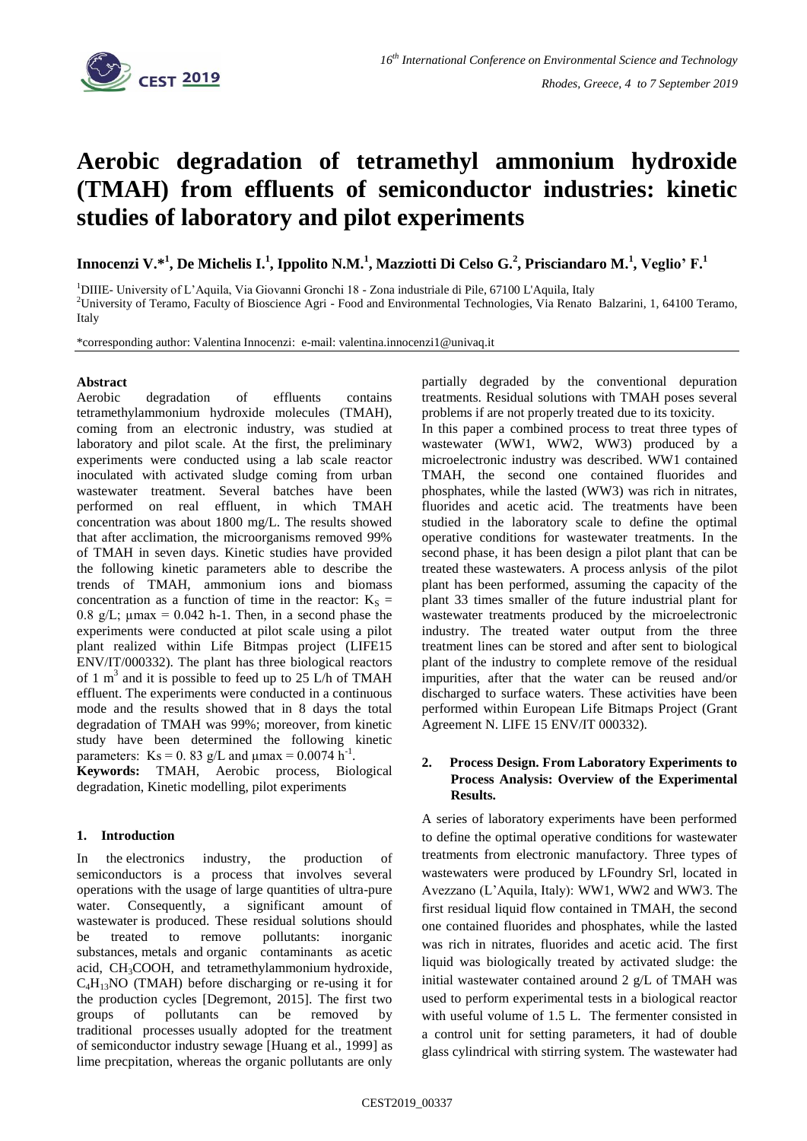

# **Aerobic degradation of tetramethyl ammonium hydroxide (TMAH) from effluents of semiconductor industries: kinetic studies of laboratory and pilot experiments**

**Innocenzi V.\*<sup>1</sup> , De Michelis I.<sup>1</sup> , Ippolito N.M.<sup>1</sup> , Mazziotti Di Celso G.<sup>2</sup> , Prisciandaro M.<sup>1</sup> , Veglio' F.<sup>1</sup>**

<sup>1</sup>DIIIE- University of L'Aquila, Via Giovanni Gronchi 18 - Zona industriale di Pile, 67100 L'Aquila, Italy <sup>2</sup>University of Teramo, Faculty of Bioscience Agri - Food and Environmental Technologies, Via Renato Balzarini, 1, 64100 Teramo, Italy

\*corresponding author: Valentina Innocenzi: e-mail: valentina.innocenzi1@univaq.it

## **Abstract**

Aerobic degradation of effluents contains tetramethylammonium hydroxide molecules (TMAH), coming from an electronic industry, was studied at laboratory and pilot scale. At the first, the preliminary experiments were conducted using a lab scale reactor inoculated with activated sludge coming from urban wastewater treatment. Several batches have been performed on real effluent, in which TMAH concentration was about 1800 mg/L. The results showed that after acclimation, the microorganisms removed 99% of TMAH in seven days. Kinetic studies have provided the following kinetic parameters able to describe the trends of TMAH, ammonium ions and biomass concentration as a function of time in the reactor:  $K_S =$ 0.8 g/L;  $\mu$ max = 0.042 h-1. Then, in a second phase the experiments were conducted at pilot scale using a pilot plant realized within Life Bitmpas project (LIFE15 ENV/IT/000332). The plant has three biological reactors of 1  $m<sup>3</sup>$  and it is possible to feed up to 25 L/h of TMAH effluent. The experiments were conducted in a continuous mode and the results showed that in 8 days the total degradation of TMAH was 99%; moreover, from kinetic study have been determined the following kinetic parameters: Ks = 0.83 g/L and  $\mu$ max = 0.0074 h<sup>-1</sup>. **Keywords:** TMAH, Aerobic process, Biological degradation, Kinetic modelling, pilot experiments

### **1. Introduction**

In the [electronics industry,](https://www.sciencedirect.com/topics/earth-and-planetary-sciences/electronics-industry) the production of semiconductors is a process that involves several operations with the usage of large quantities of ultra-pure water. Consequently, a significant amount of wastewater is produced. These residual solutions should be treated to remove pollutants: inorganic substances, [metals](https://www.sciencedirect.com/topics/earth-and-planetary-sciences/transition-metal) and [organic contaminants](https://www.sciencedirect.com/topics/earth-and-planetary-sciences/organic-contaminant) as [acetic](https://www.sciencedirect.com/topics/earth-and-planetary-sciences/acetic-acid)  [acid,](https://www.sciencedirect.com/topics/earth-and-planetary-sciences/acetic-acid) CH3COOH, and tetramethylammonium [hydroxide,](https://www.sciencedirect.com/topics/earth-and-planetary-sciences/hydroxide) C4H13NO (TMAH) before discharging or re-using it for the production cycles [Degremont, 2015]. The first two groups of pollutants can be removed by traditional [processes](https://www.sciencedirect.com/topics/earth-and-planetary-sciences/chemical-process) usually adopted for the treatment of [semiconductor industry](https://www.sciencedirect.com/topics/earth-and-planetary-sciences/semiconductor-industry) sewage [\[Huang](https://www.sciencedirect.com/science/article/pii/S2214714418302071#bib0015) et al., 1999] as lime precpitation, whereas the organic pollutants are only partially degraded by the conventional depuration treatments. Residual solutions with TMAH poses several problems if are not properly treated due to its toxicity.

In this paper a combined process to treat three types of wastewater (WW1, WW2, WW3) produced by a microelectronic industry was described. WW1 contained TMAH, the second one contained fluorides and phosphates, while the lasted (WW3) was rich in nitrates, fluorides and acetic acid. The treatments have been studied in the laboratory scale to define the optimal operative conditions for wastewater treatments. In the second phase, it has been design a pilot plant that can be treated these wastewaters. A process anlysis of the pilot plant has been performed, assuming the capacity of the plant 33 times smaller of the future industrial plant for wastewater treatments produced by the microelectronic industry. The treated water output from the three treatment lines can be stored and after sent to biological plant of the industry to complete remove of the residual impurities, after that the water can be reused and/or discharged to surface waters. These activities have been performed within European Life Bitmaps Project (Grant Agreement N. LIFE 15 ENV/IT 000332).

### **2. Process Design. From Laboratory Experiments to Process Analysis: Overview of the Experimental Results.**

A series of laboratory experiments have been performed to define the optimal operative conditions for wastewater treatments from electronic manufactory. Three types of wastewaters were produced by LFoundry Srl, located in Avezzano (L'Aquila, Italy): WW1, WW2 and WW3. The first residual liquid flow contained in TMAH, the second one contained fluorides and phosphates, while the lasted was rich in nitrates, fluorides and acetic acid. The first liquid was biologically treated by activated sludge: the initial wastewater contained around 2 g/L of TMAH was used to perform experimental tests in a biological reactor with useful volume of 1.5 L. The fermenter consisted in a control unit for setting parameters, it had of double glass cylindrical with stirring system. The wastewater had